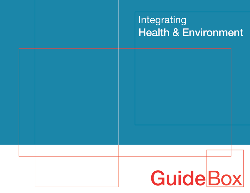# Integrating **Health & Environment**

# GuideBox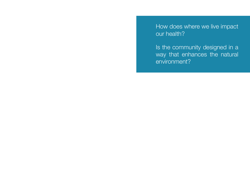How does where we live impact our health?

Is the community designed in a way that enhances the natural environment?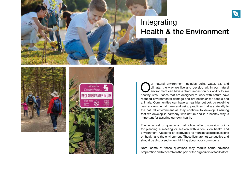





Our natural environment includes soils, water, air, and climate; the way we live and develop within our natural environment can have a direct impact on our ability to live healthy lives. Places that are designed to work wi climate; the way we live and develop within our natural environment can have a direct impact on our ability to live reduced environmental damage and are healthier for people and animals. Communities can have a healthier outlook by repairing past environmental harm and using practices that are friendly to the natural environment as they continue to develop. Ensuring that we develop in harmony with nature and in a healthy way is important for assuring our own health.

The initial set of questions that follow offer discussion points for planning a meeting or session with a focus on health and environment. A second list is provided for more detailed discussions on health and the environment. These lists are not exhaustive and should be discussed when thinking about your community.

Note, some of these questions may require some advance preparation and research on the part of the organizers or facilitators.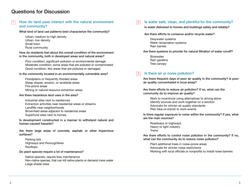# Questions for Discussion

### How do land uses interact with the natural environment and community?  $1<sup>1</sup>$

What kind of land use patterns best characterize the community?

Urban, medium to high density Urban, low density Small town Rural community

How do residents feel about the overall condition of the environment in the community, both in developed areas and natural areas?

Poor condition; significant pollution or environmental damage Moderate condition; some areas that are polluted or contaminated Good condition; few areas that are polluted or damaged

# Is the community located in an environmentally vulnerable area?

Floodplains or frequently flooded areas Steep slopes, erosion, or landslide areas Fire-prone areas Mining or natural resource extraction areas

## Are there hazardous land uses in the area?

Industrial sites next to residences Extraction activities near residential areas or streams Landfills near neighborhoods Brownfield areas adjacent to residential areas Superfund sites next to homes

Is development constructed in a manner to withstand natural and human-caused hazards?

Are there large areas of concrete, asphalt, or other impervious surfaces?

Parking lots Highways and thoroughfares Rooftops

Do plant species require a lot of maintenance?

Native species, require less maintenance Non-native species, that can kill native plants or demand more water Large shade trees

### Is water safe, clean, and plentiful for the community? 2

Is water delivered to homes and buildings safely and reliably?

# Are there efforts to conserve and/or recycle water?

Greywater systems Water reclamation systems Rain barrels

Are there systems to provide for natural filtration of water runoff?

**Bioswales** Rain gardens Tree canopy

### 3 Is there air or noise pollution?

Are there frequent days of poor air quality in the community? Is poor air quality concentrated in local areas?

Are there efforts to reduce air pollution? If no, what can the community do to improve air quality?

Work to incentivize using alternatives to driving alone Identify sources and work together on a solution Advocate for stricter air quality standards Plan bike-or-transit to work events

Is there regular exposure to noise within the community? If yes, what are the main sources?

Roadways or highways Heavy or light industry Trains

Are there efforts to control noise pollution in the community? If no, what can the community do to reduce noise pollution?

Plant additional trees in noise-prone areas Advocate for stricter noise restrictions Working with local officials or nonprofits to install noise barriers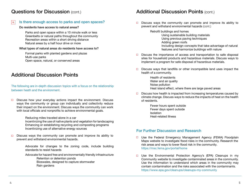# Questions for Discussion (cont.)

### Is there enough access to parks and open spaces? 4

# Do residents have access to natural areas?

Parks and open space within a 10 minute walk or less Greenbelts or natural paths throughout the community Recreation areas within a short driving distance Natural areas by a half hour drive or more

# What types of natural areas do residents have access to?

Formal parks with planted gardens and plazas Multi-use parks Open space, natural, or conserved areas

# Additional Discussion Points

The following are in-depth discussion topics with a focus on the relationship between heath and the environment.

 $\Box$ Discuss how your everyday actions impact the environment. Discuss ways the community or group can individually and collectivity reduce their impact on the environment. Discuss ways the community can work with local officials and nonprofits to achieve environmental goals.

Reducing miles traveled alone in a car

Incentivizing the use of native plants and vegetation for landscaping Enhancing or establishing recycling and composting programs Incentivizing use of alternative energy sources

Discuss ways the community can promote and improve its ability to  $\Box$ prevent and withstand environmental hazards.

> Advocate for changes to the zoning code, include building standards to resist hazards

> Advocate for hazard free and environmentally friendly infrastructure Retention or detention ponds Bioswales, designed to capture stormwater

> > Rain gardens

# Additional Discussion Points (cont.)

 $\Box$  Discuss ways the community can promote and improve its ability to prevent and withstand environmental hazards (cont.)

> Retrofit buildings and homes Using sustainable building materials Using previous paving techniques Adding green roofs Including design concepts that take advantage of natural features and harmonize buildings with nature

- $\Box$  Discuss the importance of access and transportation to safe disposal sites for household products and hazardous materials. Discuss ways to implement a program for safe disposal of hazardous materials.
- $\Box$  Discuss ways that landfills or other incompatible land uses impact the health of a community.
	- Health of residents Water and air quality Noise pollution Heat island effect, where there are large paved areas
- $\Box$  Discuss how health is impacted from increasing temperatures caused by climate change. Discuss ways to reduce the impacts of heat on the health of residents.
	- Fewer hours spent outside Fewer days spent outside **Isolation** Heat-related illness

# For Further Discussion and Research

- $\Box$  Use the Federal Emergency Management Agency (FEMA) Floodplain Maps website to investigate flood risks in the community. Research the risk areas and ways to lower flood risk in the community. <https://msc.fema.gov/portal/home>
- $\Box$  Use the Environmental Protection Agency's (EPA) Cleanups in my Community website to investigate contaminated areas in the community. Use the information to understand which areas in the community may contain contamination and the risks associated with the contaminants. <https://www.epa.gov/cleanups/cleanups-my-community>